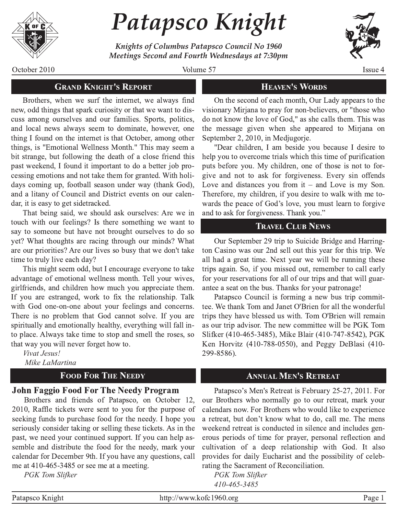

# Patapsco Knight

Knights of Columbus Patapsco Council No 1960 Meetings Second and Fourth Wednesdays at 7:30pm



Issue 4

October 2010

Volume 57

## **HEAVEN'S WORDS**

Brothers, when we surf the internet, we always find new, odd things that spark curiosity or that we want to discuss among ourselves and our families. Sports, politics, and local news always seem to dominate, however, one thing I found on the internet is that October, among other things, is "Emotional Wellness Month." This may seem a bit strange, but following the death of a close friend this past weekend, I found it important to do a better job processing emotions and not take them for granted. With holidays coming up, football season under way (thank God), and a litany of Council and District events on our calendar, it is easy to get sidetracked.

**GRAND KNIGHT'S REPORT** 

That being said, we should ask ourselves: Are we in touch with our feelings? Is there something we want to say to someone but have not brought ourselves to do so yet? What thoughts are racing through our minds? What are our priorities? Are our lives so busy that we don't take time to truly live each day?

This might seem odd, but I encourage everyone to take advantage of emotional wellness month. Tell your wives, girlfriends, and children how much you appreciate them. If you are estranged, work to fix the relationship. Talk with God one-on-one about your feelings and concerns. There is no problem that God cannot solve. If you are spiritually and emotionally healthy, everything will fall into place. Always take time to stop and smell the roses, so that way you will never forget how to.

Vivat Jesus! Mike LaMartina

## **FOOD FOR THE NEEDY**

## **John Faggio Food For The Needy Program**

Brothers and friends of Patapsco, on October 12, 2010, Raffle tickets were sent to you for the purpose of seeking funds to purchase food for the needy. I hope you seriously consider taking or selling these tickets. As in the past, we need your continued support. If you can help assemble and distribute the food for the needy, mark your calendar for December 9th. If you have any questions, call me at 410-465-3485 or see me at a meeting.

**PGK** Tom Slifker

On the second of each month, Our Lady appears to the visionary Mirjana to pray for non-believers, or "those who do not know the love of God," as she calls them. This was the message given when she appeared to Mirjana on September 2, 2010, in Medjugorje.

"Dear children, I am beside you because I desire to help you to overcome trials which this time of purification puts before you. My children, one of those is not to forgive and not to ask for forgiveness. Every sin offends Love and distances you from  $it$  – and Love is my Son. Therefore, my children, if you desire to walk with me towards the peace of God's love, you must learn to forgive and to ask for forgiveness. Thank you."

## **TRAVEL CLUB NEWS**

Our September 29 trip to Suicide Bridge and Harrington Casino was our 2nd sell out this year for this trip. We all had a great time. Next year we will be running these trips again. So, if you missed out, remember to call early for your reservations for all of our trips and that will guarantee a seat on the bus. Thanks for your patronage!

Patapsco Council is forming a new bus trip committee. We thank Tom and Janet O'Brien for all the wonderful trips they have blessed us with. Tom O'Brien will remain as our trip advisor. The new committee will be PGK Tom Slifker (410-465-3485), Mike Blair (410-747-8542), PGK Ken Horvitz (410-788-0550), and Peggy DeBlasi (410-299-8586).

## **ANNUAL MEN'S RETREAT**

Patapsco's Men's Retreat is February 25-27, 2011. For our Brothers who normally go to our retreat, mark your calendars now. For Brothers who would like to experience a retreat, but don't know what to do, call me. The mens weekend retreat is conducted in silence and includes generous periods of time for prayer, personal reflection and cultivation of a deep relationship with God. It also provides for daily Eucharist and the possibility of celebrating the Sacrament of Reconciliation.

**PGK** Tom Slifker 410-465-3485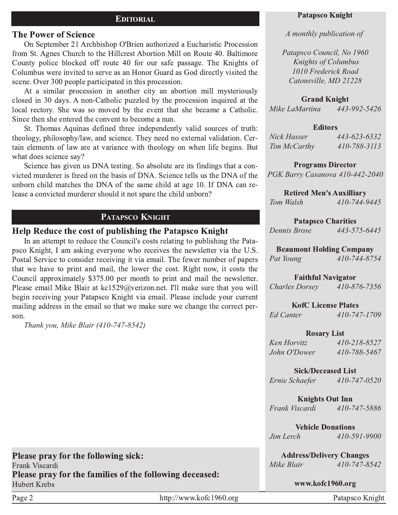## **EDITORIAL**

#### **The Power of Science**

On September 21 Archbishop O'Brien authorized a Eucharistic Procession from St. Agnes Church to the Hillcrest Abortion Mill on Route 40. Baltimore County police blocked off route 40 for our safe passage. The Knights of Columbus were invited to serve as an Honor Guard as God directly visited the scene. Over 300 people participated in this procession.

At a similar procession in another city an abortion mill mysteriously closed in 30 days. A non-Catholic puzzled by the procession inquired at the local rectory. She was so moved by the event that she became a Catholic. Since then she entered the convent to become a nun.

St. Thomas Aquinas defined three independently valid sources of truth: theology, philosophy/law, and science. They need no external validation. Certain elements of law are at variance with theology on when life begins. But what does science say?

Science has given us DNA testing. So absolute are its findings that a convicted murderer is freed on the basis of DNA. Science tells us the DNA of the unborn child matches the DNA of the same child at age 10. If DNA can release a convicted murderer should it not spare the child unborn?

#### PATAPSCO KNIGHT

#### Help Reduce the cost of publishing the Patapsco Knight

In an attempt to reduce the Council's costs relating to publishing the Patapsco Knight, I am asking everyone who receives the newsletter via the U.S. Postal Service to consider receiving it via email. The fewer number of papers that we have to print and mail, the lower the cost. Right now, it costs the Council approximately \$375.00 per month to print and mail the newsletter. Please email Mike Blair at  $kcl529@/verizon.net$ . I'll make sure that you will begin receiving your Patapsco Knight via email. Please include your current mailing address in the email so that we make sure we change the correct person.

*Thank you, Mike Blair (4107478542)*

Please pray for the following sick:

Please pray for the families of the following deceased:

#### Patapsco Knight

#### *A monthly publication of*

*Patapsco Council, No 1960 Knights of Columbus 1010 Frederick Road Catonsville, MD 21228*

#### **Grand Knight**

*Mike LaMartina* 443-992-5426

#### **Editors**

| Nick Hasser  | 443-623-6332 |
|--------------|--------------|
| Tim McCarthy | 410-788-3113 |

**Programs Director** *PGK Barry Casanova 410-442-2040* 

Retired Men's Auxilliary *Tom Walsh 4107449445*

#### Patapsco Charities

*Dennis Brose 4435756445*

#### Beaumont Holding Company

*Pat Young 4107448754*

#### **Faithful Navigator**

*Charles Dorsey 4108767356*

**KofC License Plates** 

*Ed Canter 4107471709*

#### **Rosary List**

| Ken Horvitz  | 410-218-8527 |
|--------------|--------------|
| John O'Dower | 410-788-5467 |

Sick/Deceased List

*Ernie Schaefer 4107470520*

#### **Knights Out Inn**

*Frank Viscardi 4107475886*

**Vehicle Donations** 

*Jim Lerch 410-591-9900* 

Address/Delivery Changes

*Mike Blair 410-747-8542* 

www.kofc1960.org

Frank Viscardi

Hubert Krebs

Page 2 http://www.kofc1960.org Patapsco Knight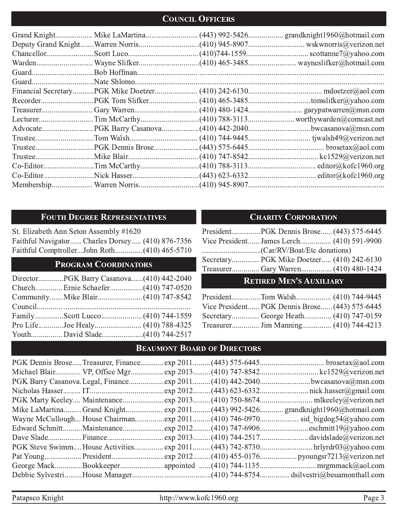## **COUNCIL OFFICERS**

## FOUTH DEGREE REPRESENTATIVES

St. Elizabeth Ann Seton Assembly #1620 Faithful Navigator...... Charles Dorsey..... (410) 876-7356 Faithful Comptroller...John Roth.............. (410) 465-5710

## PROGRAM COORDINATORS

| DirectorPGK Barry Casanova(410) 442-2040 |  |
|------------------------------------------|--|
|                                          |  |
|                                          |  |
|                                          |  |
|                                          |  |
|                                          |  |
|                                          |  |

## **CHARITY CORPORATION**

|                                |  | Vice President James Lerch (410) 591-9900 |
|--------------------------------|--|-------------------------------------------|
|                                |  |                                           |
|                                |  | Secretary PGK Mike Doetzer (410) 242-6130 |
|                                |  |                                           |
| <b>RETIRED MEN'S AUXILIARY</b> |  |                                           |

| Vice President PGK Dennis Brose (443) 575-6445 |  |
|------------------------------------------------|--|
|                                                |  |
|                                                |  |

## **BEAUMONT BOARD OF DIRECTORS**

|  |  | Michael Blair VP, Office Mgrexp 2013(410) 747-8542kc1529@verizon.net           |
|--|--|--------------------------------------------------------------------------------|
|  |  |                                                                                |
|  |  |                                                                                |
|  |  |                                                                                |
|  |  | Mike LaMartina Grand Knight exp 2011(443) 992-5426 grandknight1960@hotmail.com |
|  |  |                                                                                |
|  |  | Edward SchmittMaintenanceexp 2012(410) 747-6906eschmitt19@yahoo.com            |
|  |  |                                                                                |
|  |  | PGK Steve Swimm House Activitiesexp 2011(443) 742-8730hrlyrdr03@yahoo.com      |
|  |  |                                                                                |
|  |  |                                                                                |
|  |  |                                                                                |

Patapsco Knight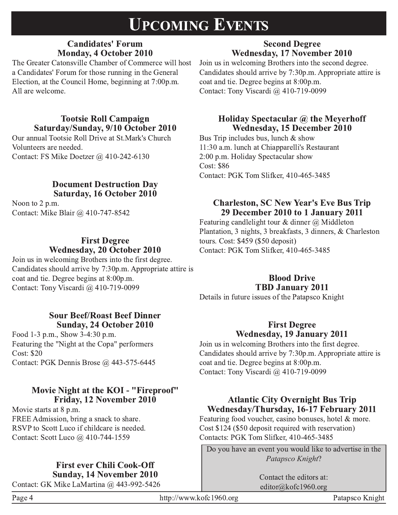## **UPCOMING EVENTS**

## **Candidates' Forum Monday, 4 October 2010**

The Greater Catonsville Chamber of Commerce will host a Candidates' Forum for those running in the General Election, at the Council Home, beginning at 7:00p.m. All are welcome.

## **Tootsie Roll Campaign** Saturday/Sunday, 9/10 October 2010

Our annual Tootsie Roll Drive at St.Mark's Church Volunteers are needed. Contact: FS Mike Doetzer @ 410-242-6130

## **Document Destruction Day** Saturday, 16 October 2010

Noon to 2 p.m. Contact: Mike Blair @ 410-747-8542

## **First Degree** Wednesday, 20 October 2010

Join us in welcoming Brothers into the first degree. Candidates should arrive by 7:30p.m. Appropriate attire is coat and tie. Degree begins at 8:00p.m. Contact: Tony Viscardi @ 410-719-0099

## **Sour Beef/Roast Beef Dinner Sunday, 24 October 2010**

Food 1-3 p.m., Show 3-4:30 p.m. Featuring the "Night at the Copa" performers **Cost: \$20** Contact: PGK Dennis Brose @ 443-575-6445

## Movie Night at the KOI - "Fireproof" Friday, 12 November 2010

Movie starts at 8 p.m. FREE Admission, bring a snack to share. RSVP to Scott Luco if childcare is needed. Contact: Scott Luco @ 410-744-1559

## **First ever Chili Cook-Off Sunday, 14 November 2010**

Contact: GK Mike LaMartina @ 443-992-5426

**Wednesday, 17 November 2010** Join us in welcoming Brothers into the second degree. Candidates should arrive by 7:30p.m. Appropriate attire is coat and tie. Degree begins at 8:00p.m. Contact: Tony Viscardi @ 410-719-0099

**Second Degree** 

## Holiday Spectacular @ the Meyerhoff Wednesday, 15 December 2010

Bus Trip includes bus, lunch & show 11:30 a.m. lunch at Chiapparelli's Restaurant 2:00 p.m. Holiday Spectacular show **Cost: \$86** Contact: PGK Tom Slifker, 410-465-3485

## **Charleston, SC New Year's Eve Bus Trip** 29 December 2010 to 1 January 2011

Featuring candlelight tour & dinner  $(a)$  Middleton Plantation, 3 nights, 3 breakfasts, 3 dinners, & Charleston tours. Cost:  $$459$  (\$50 deposit) Contact: PGK Tom Slifker, 410-465-3485

## **Blood Drive TBD January 2011**

Details in future issues of the Patapsco Knight

## **First Degree** Wednesday, 19 January 2011

Join us in welcoming Brothers into the first degree. Candidates should arrive by 7:30p.m. Appropriate attire is coat and tie. Degree begins at 8:00p.m. Contact: Tony Viscardi @ 410-719-0099

## **Atlantic City Overnight Bus Trip** Wednesday/Thursday, 16-17 February 2011

Featuring food voucher, casino bonuses, hotel  $\&$  more. Cost \$124 (\$50 deposit required with reservation) Contacts: PGK Tom Slifker, 410-465-3485

Do you have an event you would like to advertise in the Patapsco Knight?

> Contact the editors at: editor@kofc1960.org

Page 4

Patapsco Knight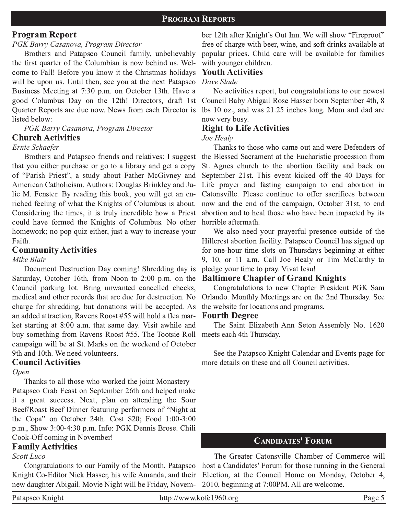## **Program Report**

## PGK Barry Casanova, Program Director

Brothers and Patapsco Council family, unbelievably the first quarter of the Columbian is now behind us. Welcome to Fall! Before you know it the Christmas holidays will be upon us. Until then, see you at the next Patapsco Business Meeting at 7:30 p.m. on October 13th. Have a good Columbus Day on the 12th! Directors, draft 1st Quarter Reports are due now. News from each Director is listed below:

#### PGK Barry Casanova, Program Director **Church Activities**

#### Ernie Schaefer

Brothers and Patapsco friends and relatives: I suggest that you either purchase or go to a library and get a copy of "Parish Priest", a study about Father McGivney and American Catholicism. Authors: Douglas Brinkley and Julie M. Fenster. By reading this book, you will get an enriched feeling of what the Knights of Columbus is about. Considering the times, it is truly incredible how a Priest could have formed the Knights of Columbus. No other homework; no pop quiz either, just a way to increase your Faith.

## **Community Activities**

#### Mike Blair

Document Destruction Day coming! Shredding day is Saturday, October 16th, from Noon to 2:00 p.m. on the Council parking lot. Bring unwanted cancelled checks, medical and other records that are due for destruction. No charge for shredding, but donations will be accepted. As an added attraction. Ravens Roost #55 will hold a flea market starting at 8:00 a.m. that same day. Visit awhile and buy something from Ravens Roost #55. The Tootsie Roll campaign will be at St. Marks on the weekend of October 9th and 10th. We need volunteers.

## **Council Activities**

#### Open

Thanks to all those who worked the joint Monastery -Patapsco Crab Feast on September 26th and helped make it a great success. Next, plan on attending the Sour Beef/Roast Beef Dinner featuring performers of "Night at the Copa" on October 24th. Cost \$20; Food 1:00-3:00 p.m., Show 3:00-4:30 p.m. Info: PGK Dennis Brose. Chili Cook-Off coming in November!

## **Family Activities**

## Scott Luco

Congratulations to our Family of the Month, Patapsco Knight Co-Editor Nick Hasser, his wife Amanda, and their new daughter Abigail. Movie Night will be Friday, Novem-

ber 12th after Knight's Out Inn. We will show "Fireproof" free of charge with beer, wine, and soft drinks available at popular prices. Child care will be available for families with younger children.

## **Youth Activities**

#### Dave Slade

No activities report, but congratulations to our newest Council Baby Abigail Rose Hasser born September 4th, 8 lbs 10 oz., and was 21.25 inches long. Mom and dad are now very busy.

## **Right to Life Activities**

#### Joe Healv

Thanks to those who came out and were Defenders of the Blessed Sacrament at the Eucharistic procession from St. Agnes church to the abortion facility and back on September 21st. This event kicked off the 40 Days for Life prayer and fasting campaign to end abortion in Catonsville. Please continue to offer sacrifices between now and the end of the campaign, October 31st, to end abortion and to heal those who have been impacted by its horrible aftermath.

We also need your prayerful presence outside of the Hillcrest abortion facility. Patapsco Council has signed up for one-hour time slots on Thursdays beginning at either 9, 10, or 11 a.m. Call Joe Healy or Tim McCarthy to pledge your time to pray. Vivat Iesu!

### **Baltimore Chapter of Grand Knights**

Congratulations to new Chapter President PGK Sam Orlando. Monthly Meetings are on the 2nd Thursday. See the website for locations and programs.

#### **Fourth Degree**

The Saint Elizabeth Ann Seton Assembly No. 1620 meets each 4th Thursday.

See the Patapsco Knight Calendar and Events page for more details on these and all Council activities.

## **CANDIDATES' FORUM**

The Greater Catonsville Chamber of Commerce will host a Candidates' Forum for those running in the General Election, at the Council Home on Monday, October 4, 2010, beginning at 7:00PM. All are welcome.